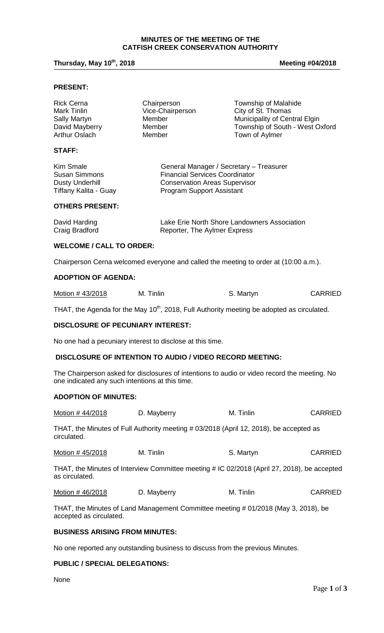### **MINUTES OF THE MEETING OF THE CATFISH CREEK CONSERVATION AUTHORITY**

# **Thursday, May 10th, 2018 Meeting #04/2018**

## **PRESENT:**

| <b>Rick Cerna</b><br>Mark Tinlin<br>Sally Martyn<br>David Mayberry | Chairperson<br>Vice-Chairperson<br>Member<br>Member | Township of Malahide<br>City of St. Thomas<br>Municipality of Central Elgin<br>Township of South - West Oxford |
|--------------------------------------------------------------------|-----------------------------------------------------|----------------------------------------------------------------------------------------------------------------|
| Arthur Oslach                                                      | Member                                              | Town of Aylmer                                                                                                 |
| <b>STAFF:</b>                                                      |                                                     |                                                                                                                |
|                                                                    |                                                     |                                                                                                                |

| Kim Smale             | General Manager / Secretary - Treasurer |
|-----------------------|-----------------------------------------|
| <b>Susan Simmons</b>  | <b>Financial Services Coordinator</b>   |
| Dusty Underhill       | <b>Conservation Areas Supervisor</b>    |
| Tiffany Kalita - Guay | Program Support Assistant               |

### **OTHERS PRESENT:**

| David Harding  | Lake Erie North Shore Landowners Association |
|----------------|----------------------------------------------|
| Craig Bradford | Reporter, The Aylmer Express                 |

#### **WELCOME / CALL TO ORDER:**

Chairperson Cerna welcomed everyone and called the meeting to order at (10:00 a.m.).

# **ADOPTION OF AGENDA:**

| Motion #43/2018 | M. Tinlin | S. Martyn | <b>CARRIED</b> |
|-----------------|-----------|-----------|----------------|
|-----------------|-----------|-----------|----------------|

THAT, the Agenda for the May 10<sup>th</sup>, 2018, Full Authority meeting be adopted as circulated.

### **DISCLOSURE OF PECUNIARY INTEREST:**

No one had a pecuniary interest to disclose at this time.

# **DISCLOSURE OF INTENTION TO AUDIO / VIDEO RECORD MEETING:**

The Chairperson asked for disclosures of intentions to audio or video record the meeting. No one indicated any such intentions at this time.

#### **ADOPTION OF MINUTES:**

| Motion #44/2018 | D. Mayberry                                                                                 | M. Tinlin | <b>CARRIED</b> |
|-----------------|---------------------------------------------------------------------------------------------|-----------|----------------|
| circulated.     | THAT, the Minutes of Full Authority meeting #03/2018 (April 12, 2018), be accepted as       |           |                |
| Motion #45/2018 | M. Tinlin                                                                                   | S. Martyn | <b>CARRIED</b> |
| as circulated.  | THAT, the Minutes of Interview Committee meeting # IC 02/2018 (April 27, 2018), be accepted |           |                |
|                 |                                                                                             |           |                |

Motion # 46/2018 D. Mayberry M. Tinlin CARRIED

THAT, the Minutes of Land Management Committee meeting # 01/2018 (May 3, 2018), be accepted as circulated.

#### **BUSINESS ARISING FROM MINUTES:**

No one reported any outstanding business to discuss from the previous Minutes.

## **PUBLIC / SPECIAL DELEGATIONS:**

None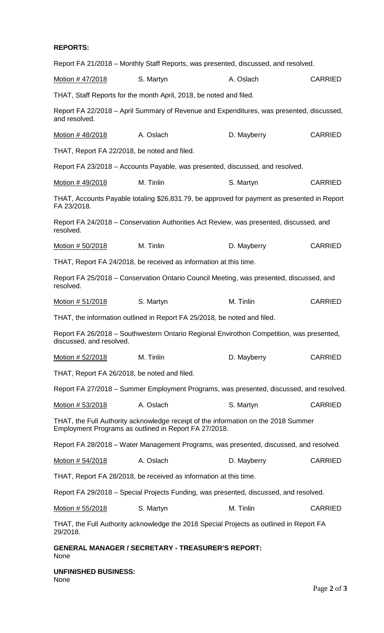# **REPORTS:**

| S. Martyn                                    | A. Oslach   | <b>CARRIED</b>                                                                                                                                                                                                                                                                                                                                                                                                                                                                                                                                                                                                                                                                                                                                                                                                                                                                                                                                                                                                                                                                                                                                                                                                                                                                                                                                                                                                                                                                                                                  |
|----------------------------------------------|-------------|---------------------------------------------------------------------------------------------------------------------------------------------------------------------------------------------------------------------------------------------------------------------------------------------------------------------------------------------------------------------------------------------------------------------------------------------------------------------------------------------------------------------------------------------------------------------------------------------------------------------------------------------------------------------------------------------------------------------------------------------------------------------------------------------------------------------------------------------------------------------------------------------------------------------------------------------------------------------------------------------------------------------------------------------------------------------------------------------------------------------------------------------------------------------------------------------------------------------------------------------------------------------------------------------------------------------------------------------------------------------------------------------------------------------------------------------------------------------------------------------------------------------------------|
|                                              |             |                                                                                                                                                                                                                                                                                                                                                                                                                                                                                                                                                                                                                                                                                                                                                                                                                                                                                                                                                                                                                                                                                                                                                                                                                                                                                                                                                                                                                                                                                                                                 |
|                                              |             |                                                                                                                                                                                                                                                                                                                                                                                                                                                                                                                                                                                                                                                                                                                                                                                                                                                                                                                                                                                                                                                                                                                                                                                                                                                                                                                                                                                                                                                                                                                                 |
| A. Oslach                                    | D. Mayberry | <b>CARRIED</b>                                                                                                                                                                                                                                                                                                                                                                                                                                                                                                                                                                                                                                                                                                                                                                                                                                                                                                                                                                                                                                                                                                                                                                                                                                                                                                                                                                                                                                                                                                                  |
| THAT, Report FA 22/2018, be noted and filed. |             |                                                                                                                                                                                                                                                                                                                                                                                                                                                                                                                                                                                                                                                                                                                                                                                                                                                                                                                                                                                                                                                                                                                                                                                                                                                                                                                                                                                                                                                                                                                                 |
|                                              |             |                                                                                                                                                                                                                                                                                                                                                                                                                                                                                                                                                                                                                                                                                                                                                                                                                                                                                                                                                                                                                                                                                                                                                                                                                                                                                                                                                                                                                                                                                                                                 |
| M. Tinlin                                    | S. Martyn   | <b>CARRIED</b>                                                                                                                                                                                                                                                                                                                                                                                                                                                                                                                                                                                                                                                                                                                                                                                                                                                                                                                                                                                                                                                                                                                                                                                                                                                                                                                                                                                                                                                                                                                  |
|                                              |             |                                                                                                                                                                                                                                                                                                                                                                                                                                                                                                                                                                                                                                                                                                                                                                                                                                                                                                                                                                                                                                                                                                                                                                                                                                                                                                                                                                                                                                                                                                                                 |
|                                              |             |                                                                                                                                                                                                                                                                                                                                                                                                                                                                                                                                                                                                                                                                                                                                                                                                                                                                                                                                                                                                                                                                                                                                                                                                                                                                                                                                                                                                                                                                                                                                 |
| M. Tinlin                                    | D. Mayberry | <b>CARRIED</b>                                                                                                                                                                                                                                                                                                                                                                                                                                                                                                                                                                                                                                                                                                                                                                                                                                                                                                                                                                                                                                                                                                                                                                                                                                                                                                                                                                                                                                                                                                                  |
|                                              |             |                                                                                                                                                                                                                                                                                                                                                                                                                                                                                                                                                                                                                                                                                                                                                                                                                                                                                                                                                                                                                                                                                                                                                                                                                                                                                                                                                                                                                                                                                                                                 |
|                                              |             |                                                                                                                                                                                                                                                                                                                                                                                                                                                                                                                                                                                                                                                                                                                                                                                                                                                                                                                                                                                                                                                                                                                                                                                                                                                                                                                                                                                                                                                                                                                                 |
| S. Martyn                                    | M. Tinlin   | <b>CARRIED</b>                                                                                                                                                                                                                                                                                                                                                                                                                                                                                                                                                                                                                                                                                                                                                                                                                                                                                                                                                                                                                                                                                                                                                                                                                                                                                                                                                                                                                                                                                                                  |
|                                              |             |                                                                                                                                                                                                                                                                                                                                                                                                                                                                                                                                                                                                                                                                                                                                                                                                                                                                                                                                                                                                                                                                                                                                                                                                                                                                                                                                                                                                                                                                                                                                 |
|                                              |             |                                                                                                                                                                                                                                                                                                                                                                                                                                                                                                                                                                                                                                                                                                                                                                                                                                                                                                                                                                                                                                                                                                                                                                                                                                                                                                                                                                                                                                                                                                                                 |
| M. Tinlin                                    | D. Mayberry | <b>CARRIED</b>                                                                                                                                                                                                                                                                                                                                                                                                                                                                                                                                                                                                                                                                                                                                                                                                                                                                                                                                                                                                                                                                                                                                                                                                                                                                                                                                                                                                                                                                                                                  |
| THAT, Report FA 26/2018, be noted and filed. |             |                                                                                                                                                                                                                                                                                                                                                                                                                                                                                                                                                                                                                                                                                                                                                                                                                                                                                                                                                                                                                                                                                                                                                                                                                                                                                                                                                                                                                                                                                                                                 |
|                                              |             |                                                                                                                                                                                                                                                                                                                                                                                                                                                                                                                                                                                                                                                                                                                                                                                                                                                                                                                                                                                                                                                                                                                                                                                                                                                                                                                                                                                                                                                                                                                                 |
| A. Oslach                                    | S. Martyn   | <b>CARRIED</b>                                                                                                                                                                                                                                                                                                                                                                                                                                                                                                                                                                                                                                                                                                                                                                                                                                                                                                                                                                                                                                                                                                                                                                                                                                                                                                                                                                                                                                                                                                                  |
|                                              |             |                                                                                                                                                                                                                                                                                                                                                                                                                                                                                                                                                                                                                                                                                                                                                                                                                                                                                                                                                                                                                                                                                                                                                                                                                                                                                                                                                                                                                                                                                                                                 |
|                                              |             |                                                                                                                                                                                                                                                                                                                                                                                                                                                                                                                                                                                                                                                                                                                                                                                                                                                                                                                                                                                                                                                                                                                                                                                                                                                                                                                                                                                                                                                                                                                                 |
| A. Oslach                                    | D. Mayberry | <b>CARRIED</b>                                                                                                                                                                                                                                                                                                                                                                                                                                                                                                                                                                                                                                                                                                                                                                                                                                                                                                                                                                                                                                                                                                                                                                                                                                                                                                                                                                                                                                                                                                                  |
|                                              |             |                                                                                                                                                                                                                                                                                                                                                                                                                                                                                                                                                                                                                                                                                                                                                                                                                                                                                                                                                                                                                                                                                                                                                                                                                                                                                                                                                                                                                                                                                                                                 |
|                                              |             |                                                                                                                                                                                                                                                                                                                                                                                                                                                                                                                                                                                                                                                                                                                                                                                                                                                                                                                                                                                                                                                                                                                                                                                                                                                                                                                                                                                                                                                                                                                                 |
| S. Martyn                                    | M. Tinlin   | <b>CARRIED</b>                                                                                                                                                                                                                                                                                                                                                                                                                                                                                                                                                                                                                                                                                                                                                                                                                                                                                                                                                                                                                                                                                                                                                                                                                                                                                                                                                                                                                                                                                                                  |
|                                              |             |                                                                                                                                                                                                                                                                                                                                                                                                                                                                                                                                                                                                                                                                                                                                                                                                                                                                                                                                                                                                                                                                                                                                                                                                                                                                                                                                                                                                                                                                                                                                 |
|                                              |             |                                                                                                                                                                                                                                                                                                                                                                                                                                                                                                                                                                                                                                                                                                                                                                                                                                                                                                                                                                                                                                                                                                                                                                                                                                                                                                                                                                                                                                                                                                                                 |
|                                              |             | Report FA 21/2018 – Monthly Staff Reports, was presented, discussed, and resolved.<br>THAT, Staff Reports for the month April, 2018, be noted and filed.<br>Report FA 22/2018 – April Summary of Revenue and Expenditures, was presented, discussed,<br>Report FA 23/2018 – Accounts Payable, was presented, discussed, and resolved.<br>THAT, Accounts Payable totaling \$26,831.79, be approved for payment as presented in Report<br>Report FA 24/2018 – Conservation Authorities Act Review, was presented, discussed, and<br>THAT, Report FA 24/2018, be received as information at this time.<br>Report FA 25/2018 - Conservation Ontario Council Meeting, was presented, discussed, and<br>THAT, the information outlined in Report FA 25/2018, be noted and filed.<br>Report FA 26/2018 - Southwestern Ontario Regional Envirothon Competition, was presented,<br>Report FA 27/2018 – Summer Employment Programs, was presented, discussed, and resolved.<br>THAT, the Full Authority acknowledge receipt of the information on the 2018 Summer<br>Employment Programs as outlined in Report FA 27/2018.<br>Report FA 28/2018 – Water Management Programs, was presented, discussed, and resolved.<br>THAT, Report FA 28/2018, be received as information at this time.<br>Report FA 29/2018 – Special Projects Funding, was presented, discussed, and resolved.<br>THAT, the Full Authority acknowledge the 2018 Special Projects as outlined in Report FA<br><b>GENERAL MANAGER / SECRETARY - TREASURER'S REPORT:</b> |

**UNFINISHED BUSINESS:** None